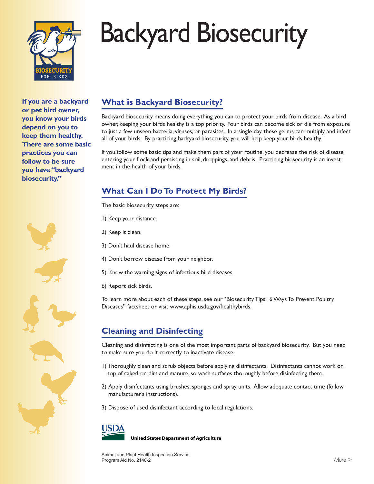

# Backyard Biosecurity

**If you are a backyard or pet bird owner, you know your birds depend on you to keep them healthy. There are some basic practices you can follow to be sure you have "backyard biosecurity."**



# **What is Backyard Biosecurity?**

Backyard biosecurity means doing everything you can to protect your birds from disease. As a bird owner, keeping your birds healthy is a top priority. Your birds can become sick or die from exposure to just a few unseen bacteria, viruses, or parasites. In a single day, these germs can multiply and infect all of your birds. By practicing backyard biosecurity, you will help keep your birds healthy.

If you follow some basic tips and make them part of your routine, you decrease the risk of disease entering your flock and persisting in soil, droppings, and debris. Practicing biosecurity is an investment in the health of your birds.

## **What Can I Do To Protect My Birds?**

The basic biosecurity steps are:

1) Keep your distance.

2) Keep it clean.

3) Don't haul disease home.

4) Don't borrow disease from your neighbor.

5) Know the warning signs of infectious bird diseases.

6) Report sick birds.

To learn more about each of these steps, see our "Biosecurity Tips: 6 Ways To Prevent Poultry Diseases" factsheet or visit www.aphis.usda.gov/healthybirds.

## **Cleaning and Disinfecting**

Cleaning and disinfecting is one of the most important parts of backyard biosecurity. But you need to make sure you do it correctly to inactivate disease.

- 1) Thoroughly clean and scrub objects before applying disinfectants. Disinfectants cannot work on top of caked-on dirt and manure, so wash surfaces thoroughly before disinfecting them.
- 2) Apply disinfectants using brushes, sponges and spray units. Allow adequate contact time (follow manufacturer's instructions).
- 3) Dispose of used disinfectant according to local regulations.



**United States Department of Agriculture**

Animal and Plant Health Inspection Service Program Aid No. 2140-2